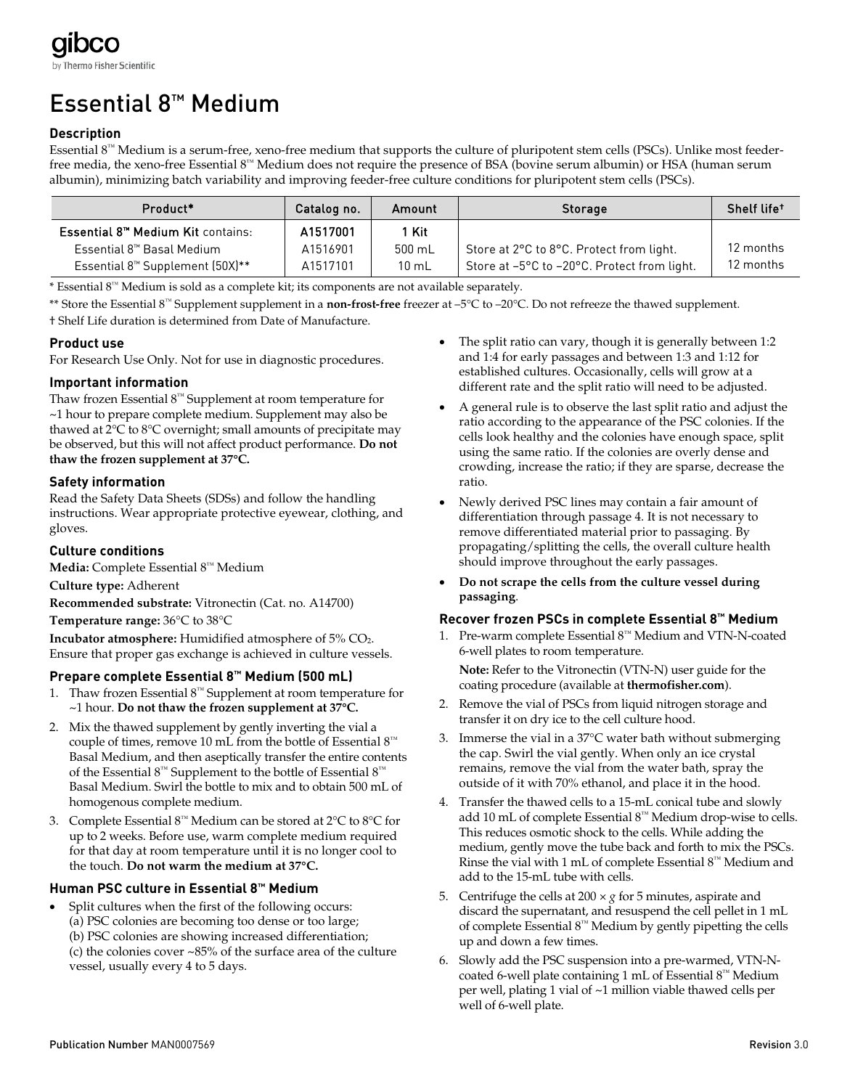# Essential 8™ Medium

## **Description**

Essential 8™ Medium is a serum-free, xeno-free medium that supports the culture of pluripotent stem cells (PSCs). Unlike most feederfree media, the xeno-free Essential 8™ Medium does not require the presence of BSA (bovine serum albumin) or HSA (human serum albumin), minimizing batch variability and improving feeder-free culture conditions for pluripotent stem cells (PSCs).

| Product*                                            | Catalog no. | Amount          | <b>Storage</b>                              | Shelf life <sup>+</sup> |
|-----------------------------------------------------|-------------|-----------------|---------------------------------------------|-------------------------|
| <b>Essential 8<sup>™</sup> Medium Kit contains:</b> | A1517001    | 1 Kit           |                                             |                         |
| Essential 8™ Basal Medium                           | A1516901    | 500 mL          | Store at 2°C to 8°C. Protect from light.    | 12 months               |
| Essential 8 <sup>™</sup> Supplement (50X)**         | A1517101    | $10 \text{ mL}$ | Store at -5°C to -20°C. Protect from light. | 12 months               |

\* Essential 8™ Medium is sold as a complete kit; its components are not available separately.

\*\* Store the Essential 8™ Supplement supplement in a **non-frost-free** freezer at –5°C to –20°C. Do not refreeze the thawed supplement. † Shelf Life duration is determined from Date of Manufacture.

## **Product use**

For Research Use Only. Not for use in diagnostic procedures.

### **Important information**

Thaw frozen Essential 8™ Supplement at room temperature for ~1 hour to prepare complete medium. Supplement may also be thawed at 2°C to 8°C overnight; small amounts of precipitate may be observed, but this will not affect product performance. **Do not thaw the frozen supplement at 37°C.**

### **Safety information**

Read the Safety Data Sheets (SDSs) and follow the handling instructions. Wear appropriate protective eyewear, clothing, and gloves.

## **Culture conditions**

**Media:** Complete Essential 8™ Medium

#### **Culture type:** Adherent

**Recommended substrate:** Vitronectin (Cat. no. A14700)

**Temperature range:** 36°C to 38°C

**Incubator atmosphere:** Humidified atmosphere of 5% CO<sub>2</sub>. Ensure that proper gas exchange is achieved in culture vessels.

## **Prepare complete Essential 8™ Medium (500 mL)**

- 1. Thaw frozen Essential 8™ Supplement at room temperature for ~1 hour. **Do not thaw the frozen supplement at 37°C.**
- 2. Mix the thawed supplement by gently inverting the vial a couple of times, remove 10 mL from the bottle of Essential  $8^m$ Basal Medium, and then aseptically transfer the entire contents of the Essential 8™ Supplement to the bottle of Essential 8™ Basal Medium. Swirl the bottle to mix and to obtain 500 mL of homogenous complete medium.
- 3. Complete Essential 8™ Medium can be stored at 2°C to 8°C for up to 2 weeks. Before use, warm complete medium required for that day at room temperature until it is no longer cool to the touch. **Do not warm the medium at 37°C.**

## **Human PSC culture in Essential 8™ Medium**

Split cultures when the first of the following occurs: (a) PSC colonies are becoming too dense or too large; (b) PSC colonies are showing increased differentiation; (c) the colonies cover ~85% of the surface area of the culture vessel, usually every 4 to 5 days.

- The split ratio can vary, though it is generally between 1:2 and 1:4 for early passages and between 1:3 and 1:12 for established cultures. Occasionally, cells will grow at a different rate and the split ratio will need to be adjusted.
- A general rule is to observe the last split ratio and adjust the ratio according to the appearance of the PSC colonies. If the cells look healthy and the colonies have enough space, split using the same ratio. If the colonies are overly dense and crowding, increase the ratio; if they are sparse, decrease the ratio.
- Newly derived PSC lines may contain a fair amount of differentiation through passage 4. It is not necessary to remove differentiated material prior to passaging. By propagating/splitting the cells, the overall culture health should improve throughout the early passages.
- **Do not scrape the cells from the culture vessel during passaging**.

#### **Recover frozen PSCs in complete Essential 8™ Medium**

1. Pre-warm complete Essential 8™ Medium and VTN-N-coated 6-well plates to room temperature.

**Note:** Refer to the Vitronectin (VTN-N) user guide for the coating procedure (available at **[thermofisher.com](http://www.thermofisher.com/)**).

- 2. Remove the vial of PSCs from liquid nitrogen storage and transfer it on dry ice to the cell culture hood.
- 3. Immerse the vial in a 37°C water bath without submerging the cap. Swirl the vial gently. When only an ice crystal remains, remove the vial from the water bath, spray the outside of it with 70% ethanol, and place it in the hood.
- 4. Transfer the thawed cells to a 15-mL conical tube and slowly add 10 mL of complete Essential 8™ Medium drop-wise to cells. This reduces osmotic shock to the cells. While adding the medium, gently move the tube back and forth to mix the PSCs. Rinse the vial with 1 mL of complete Essential  $8^m$  Medium and add to the 15-mL tube with cells.
- 5. Centrifuge the cells at  $200 \times g$  for 5 minutes, aspirate and discard the supernatant, and resuspend the cell pellet in 1 mL of complete Essential  $8^m$  Medium by gently pipetting the cells up and down a few times.
- 6. Slowly add the PSC suspension into a pre-warmed, VTN-Ncoated 6-well plate containing 1 mL of Essential 8™ Medium per well, plating 1 vial of ~1 million viable thawed cells per well of 6-well plate.